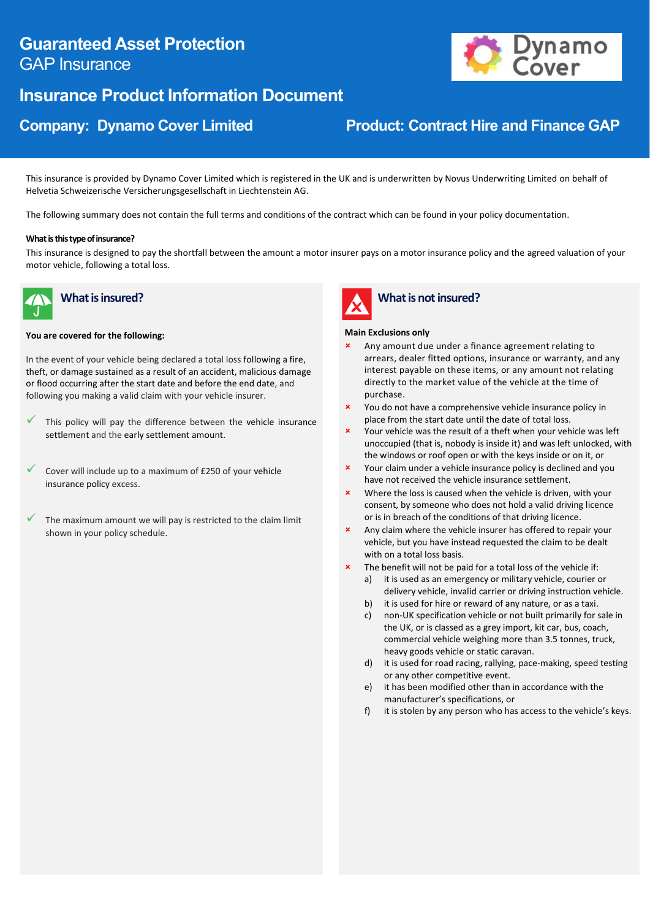# **Guaranteed Asset Protection** GAP Insurance

# **Insurance Product Information Document**



# **Company: Dynamo Cover Limited Contract Hire and Finance GAP**

This insurance is provided by Dynamo Cover Limited which is registered in the UK and is underwritten by Novus Underwriting Limited on behalf of Helvetia Schweizerische Versicherungsgesellschaft in Liechtenstein AG.

The following summary does not contain the full terms and conditions of the contract which can be found in your policy documentation.

#### **What is this type of insurance?**

This insurance is designed to pay the shortfall between the amount a motor insurer pays on a motor insurance policy and the agreed valuation of your motor vehicle, following a total loss.



## **What is insured?**

#### **You are covered for the following:**

In the event of your vehicle being declared a total loss following a fire, theft, or damage sustained as a result of an accident, malicious damage or flood occurring after the start date and before the end date, and following you making a valid claim with your vehicle insurer.

- This policy will pay the difference between the vehicle insurance settlement and the early settlement amount.
- Cover will include up to a maximum of £250 of your vehicle insurance policy excess.
- The maximum amount we will pay is restricted to the claim limit shown in your policy schedule.



## **What is not insured?**

#### **Main Exclusions only**

- Any amount due under a finance agreement relating to arrears, dealer fitted options, insurance or warranty, and any interest payable on these items, or any amount not relating directly to the market value of the vehicle at the time of purchase.
- You do not have a comprehensive vehicle insurance policy in place from the start date until the date of total loss.
- Your vehicle was the result of a theft when your vehicle was left unoccupied (that is, nobody is inside it) and was left unlocked, with the windows or roof open or with the keys inside or on it, or
- **x** Your claim under a vehicle insurance policy is declined and you have not received the vehicle insurance settlement.
- Where the loss is caused when the vehicle is driven, with your consent, by someone who does not hold a valid driving licence or is in breach of the conditions of that driving licence.
- Any claim where the vehicle insurer has offered to repair your vehicle, but you have instead requested the claim to be dealt with on a total loss basis.
	- The benefit will not be paid for a total loss of the vehicle if: a) it is used as an emergency or military vehicle, courier or
	- delivery vehicle, invalid carrier or driving instruction vehicle. b) it is used for hire or reward of any nature, or as a taxi.
	- c) non-UK specification vehicle or not built primarily for sale in the UK, or is classed as a grey import, kit car, bus, coach, commercial vehicle weighing more than 3.5 tonnes, truck, heavy goods vehicle or static caravan.
	- d) it is used for road racing, rallying, pace-making, speed testing or any other competitive event.
	- e) it has been modified other than in accordance with the manufacturer's specifications, or
	- f) it is stolen by any person who has access to the vehicle's keys.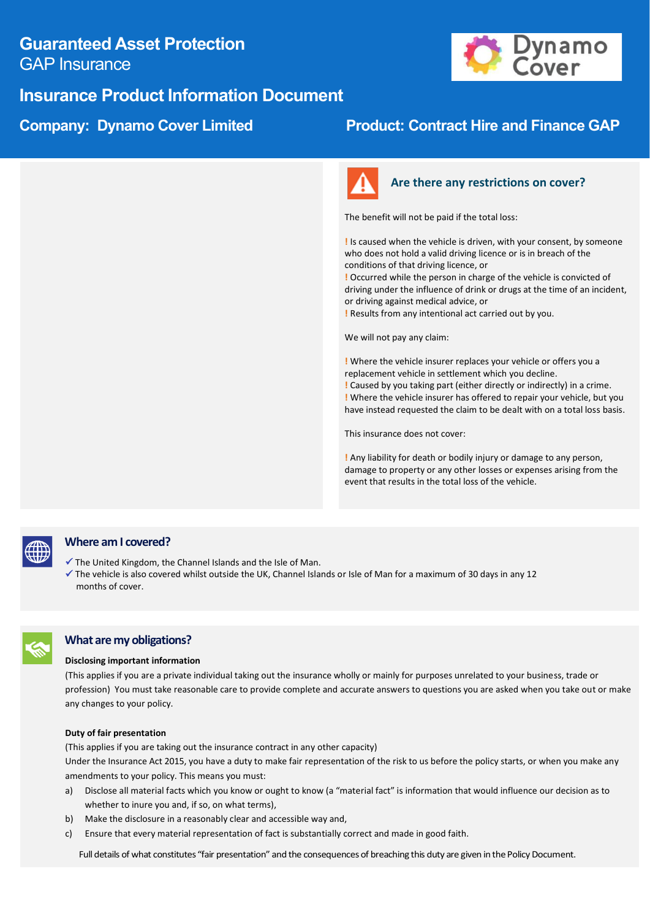## **Guaranteed Asset Protection** GAP Insurance





## **Company: Dynamo Cover Limited Product: Contract Hire and Finance GAP**



## **Are there any restrictions on cover?**

The benefit will not be paid if the total loss:

**!** Is caused when the vehicle is driven, with your consent, by someone who does not hold a valid driving licence or is in breach of the conditions of that driving licence, or

**!** Occurred while the person in charge of the vehicle is convicted of driving under the influence of drink or drugs at the time of an incident, or driving against medical advice, or

**!** Results from any intentional act carried out by you.

We will not pay any claim:

**!** Where the vehicle insurer replaces your vehicle or offers you a replacement vehicle in settlement which you decline. **!** Caused by you taking part (either directly or indirectly) in a crime. **!** Where the vehicle insurer has offered to repair your vehicle, but you have instead requested the claim to be dealt with on a total loss basis.

This insurance does not cover:

**!** Any liability for death or bodily injury or damage to any person, damage to property or any other losses or expenses arising from the event that results in the total loss of the vehicle.



### **Where am I covered?**

- ✓ The United Kingdom, the Channel Islands and the Isle of Man.
- ✓ The vehicle is also covered whilst outside the UK, Channel Islands or Isle of Man for a maximum of 30 days in any 12 months of cover.

### **What are my obligations?**

#### **Disclosing important information**

(This applies if you are a private individual taking out the insurance wholly or mainly for purposes unrelated to your business, trade or profession) You must take reasonable care to provide complete and accurate answers to questions you are asked when you take out or make any changes to your policy.

#### **Duty of fair presentation**

(This applies if you are taking out the insurance contract in any other capacity)

Under the Insurance Act 2015, you have a duty to make fair representation of the risk to us before the policy starts, or when you make any amendments to your policy. This means you must:

- a) Disclose all material facts which you know or ought to know (a "material fact" is information that would influence our decision as to whether to inure you and, if so, on what terms),
- b) Make the disclosure in a reasonably clear and accessible way and,
- c) Ensure that every material representation of fact is substantially correct and made in good faith.

Full details of what constitutes "fair presentation" and the consequences of breaching this duty are given in the Policy Document.